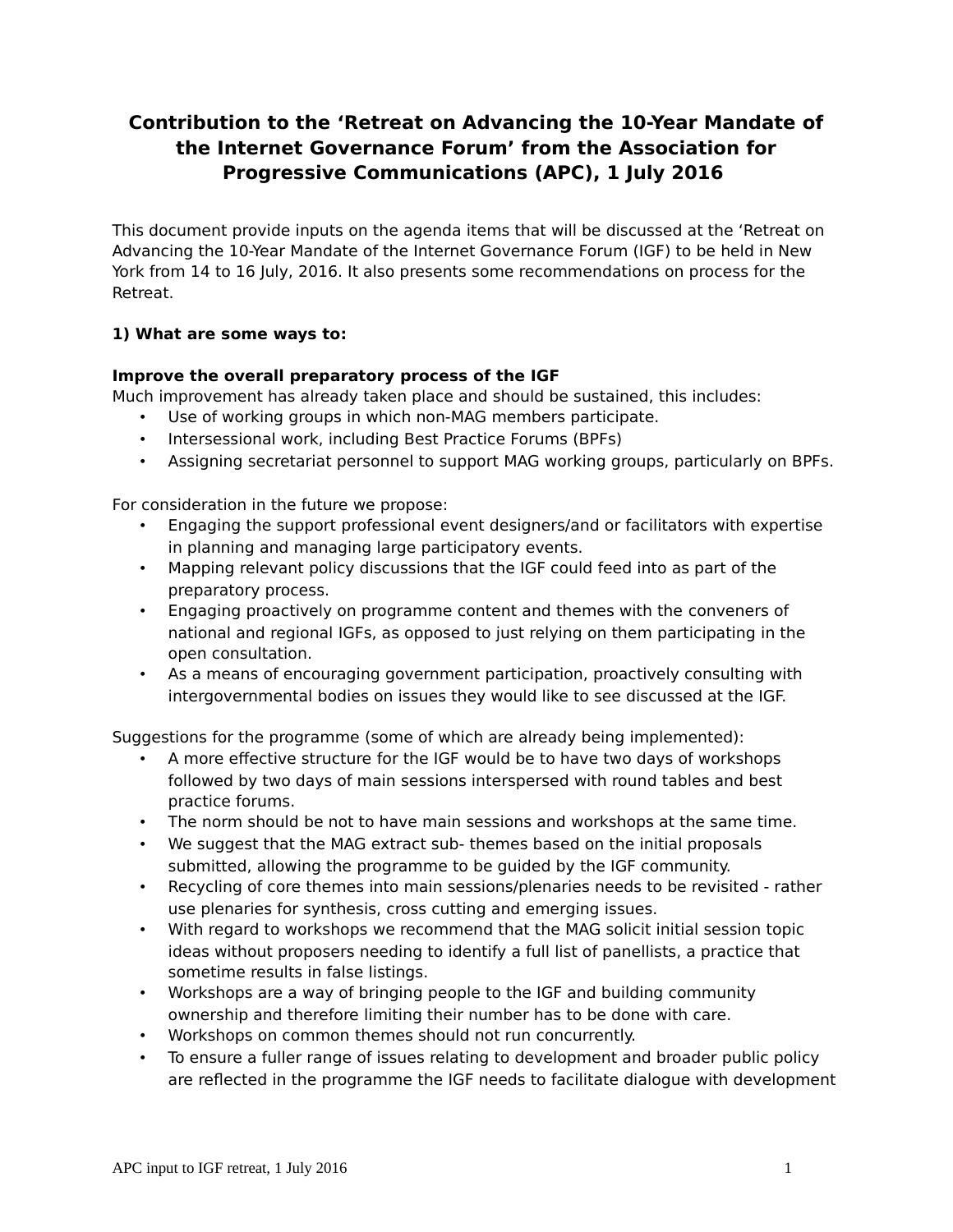# **Contribution to the 'Retreat on Advancing the 10-Year Mandate of the Internet Governance Forum' from the Association for Progressive Communications (APC), 1 July 2016**

This document provide inputs on the agenda items that will be discussed at the 'Retreat on Advancing the 10-Year Mandate of the Internet Governance Forum (IGF) to be held in New York from 14 to 16 July, 2016. It also presents some recommendations on process for the Retreat.

#### **1) What are some ways to:**

#### **Improve the overall preparatory process of the IGF**

Much improvement has already taken place and should be sustained, this includes:

- Use of working groups in which non-MAG members participate.
- Intersessional work, including Best Practice Forums (BPFs)
- Assigning secretariat personnel to support MAG working groups, particularly on BPFs.

For consideration in the future we propose:

- Engaging the support professional event designers/and or facilitators with expertise in planning and managing large participatory events.
- Mapping relevant policy discussions that the IGF could feed into as part of the preparatory process.
- Engaging proactively on programme content and themes with the conveners of national and regional IGFs, as opposed to just relying on them participating in the open consultation.
- As a means of encouraging government participation, proactively consulting with intergovernmental bodies on issues they would like to see discussed at the IGF.

Suggestions for the programme (some of which are already being implemented):

- A more effective structure for the IGF would be to have two days of workshops followed by two days of main sessions interspersed with round tables and best practice forums.
- The norm should be not to have main sessions and workshops at the same time.
- We suggest that the MAG extract sub- themes based on the initial proposals submitted, allowing the programme to be guided by the IGF community.
- Recycling of core themes into main sessions/plenaries needs to be revisited rather use plenaries for synthesis, cross cutting and emerging issues.
- With regard to workshops we recommend that the MAG solicit initial session topic ideas without proposers needing to identify a full list of panellists, a practice that sometime results in false listings.
- Workshops are a way of bringing people to the IGF and building community ownership and therefore limiting their number has to be done with care.
- Workshops on common themes should not run concurrently.
- To ensure a fuller range of issues relating to development and broader public policy are reflected in the programme the IGF needs to facilitate dialogue with development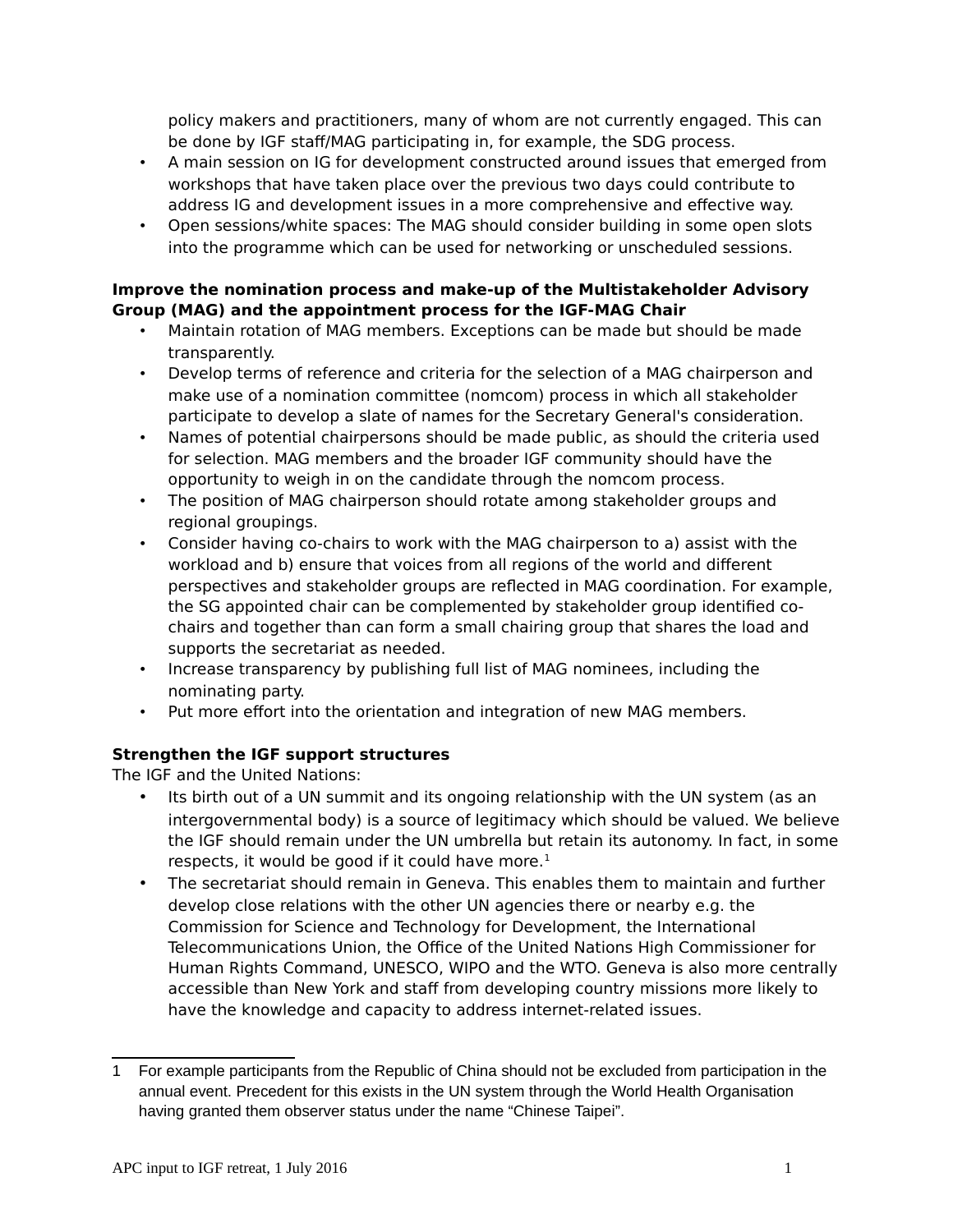policy makers and practitioners, many of whom are not currently engaged. This can be done by IGF staff/MAG participating in, for example, the SDG process.

- A main session on IG for development constructed around issues that emerged from workshops that have taken place over the previous two days could contribute to address IG and development issues in a more comprehensive and effective way.
- Open sessions/white spaces: The MAG should consider building in some open slots into the programme which can be used for networking or unscheduled sessions.

#### **Improve the nomination process and make-up of the Multistakeholder Advisory Group (MAG) and the appointment process for the IGF-MAG Chair**

- Maintain rotation of MAG members. Exceptions can be made but should be made transparently.
- Develop terms of reference and criteria for the selection of a MAG chairperson and make use of a nomination committee (nomcom) process in which all stakeholder participate to develop a slate of names for the Secretary General's consideration.
- Names of potential chairpersons should be made public, as should the criteria used for selection. MAG members and the broader IGF community should have the opportunity to weigh in on the candidate through the nomcom process.
- The position of MAG chairperson should rotate among stakeholder groups and regional groupings.
- Consider having co-chairs to work with the MAG chairperson to a) assist with the workload and b) ensure that voices from all regions of the world and different perspectives and stakeholder groups are reflected in MAG coordination. For example, the SG appointed chair can be complemented by stakeholder group identified cochairs and together than can form a small chairing group that shares the load and supports the secretariat as needed.
- Increase transparency by publishing full list of MAG nominees, including the nominating party.
- Put more effort into the orientation and integration of new MAG members.

## **Strengthen the IGF support structures**

The IGF and the United Nations:

- Its birth out of a UN summit and its ongoing relationship with the UN system (as an intergovernmental body) is a source of legitimacy which should be valued. We believe the IGF should remain under the UN umbrella but retain its autonomy. In fact, in some respects, it would be good if it could have more. $<sup>1</sup>$  $<sup>1</sup>$  $<sup>1</sup>$ </sup>
- The secretariat should remain in Geneva. This enables them to maintain and further develop close relations with the other UN agencies there or nearby e.g. the Commission for Science and Technology for Development, the International Telecommunications Union, the Office of the United Nations High Commissioner for Human Rights Command, UNESCO, WIPO and the WTO. Geneva is also more centrally accessible than New York and staff from developing country missions more likely to have the knowledge and capacity to address internet-related issues.

<span id="page-1-0"></span><sup>1</sup> For example participants from the Republic of China should not be excluded from participation in the annual event. Precedent for this exists in the UN system through the World Health Organisation having granted them observer status under the name "Chinese Taipei".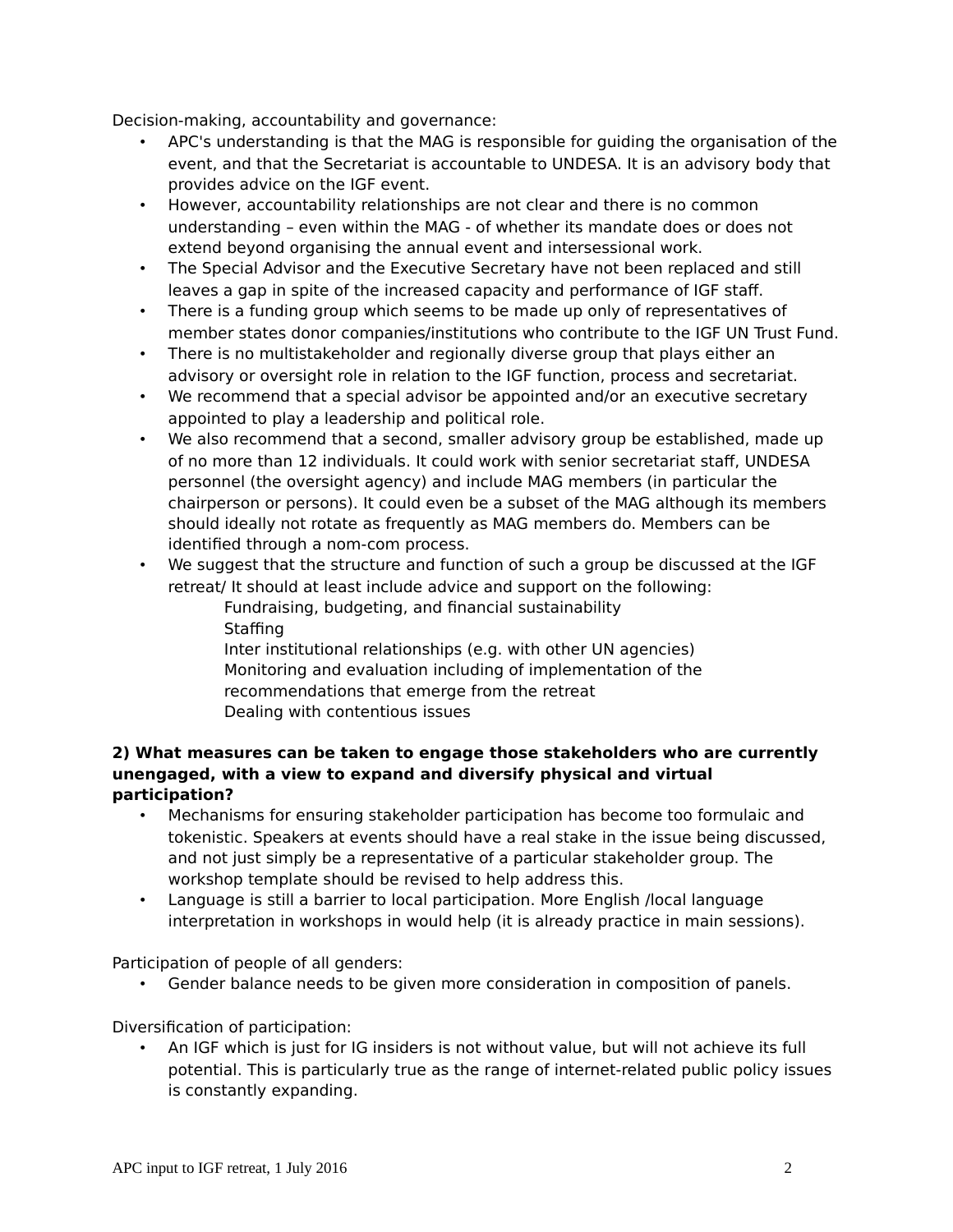Decision-making, accountability and governance:

- APC's understanding is that the MAG is responsible for guiding the organisation of the event, and that the Secretariat is accountable to UNDESA. It is an advisory body that provides advice on the IGF event.
- However, accountability relationships are not clear and there is no common understanding – even within the MAG - of whether its mandate does or does not extend beyond organising the annual event and intersessional work.
- The Special Advisor and the Executive Secretary have not been replaced and still leaves a gap in spite of the increased capacity and performance of IGF staff.
- There is a funding group which seems to be made up only of representatives of member states donor companies/institutions who contribute to the IGF UN Trust Fund.
- There is no multistakeholder and regionally diverse group that plays either an advisory or oversight role in relation to the IGF function, process and secretariat.
- We recommend that a special advisor be appointed and/or an executive secretary appointed to play a leadership and political role.
- We also recommend that a second, smaller advisory group be established, made up of no more than 12 individuals. It could work with senior secretariat staff, UNDESA personnel (the oversight agency) and include MAG members (in particular the chairperson or persons). It could even be a subset of the MAG although its members should ideally not rotate as frequently as MAG members do. Members can be identified through a nom-com process.
- We suggest that the structure and function of such a group be discussed at the IGF retreat/ It should at least include advice and support on the following:

Fundraising, budgeting, and financial sustainability Staffing Inter institutional relationships (e.g. with other UN agencies) Monitoring and evaluation including of implementation of the recommendations that emerge from the retreat Dealing with contentious issues

#### **2) What measures can be taken to engage those stakeholders who are currently unengaged, with a view to expand and diversify physical and virtual participation?**

- Mechanisms for ensuring stakeholder participation has become too formulaic and tokenistic. Speakers at events should have a real stake in the issue being discussed, and not just simply be a representative of a particular stakeholder group. The workshop template should be revised to help address this.
- Language is still a barrier to local participation. More English /local language interpretation in workshops in would help (it is already practice in main sessions).

Participation of people of all genders:

• Gender balance needs to be given more consideration in composition of panels.

Diversification of participation:

• An IGF which is just for IG insiders is not without value, but will not achieve its full potential. This is particularly true as the range of internet-related public policy issues is constantly expanding.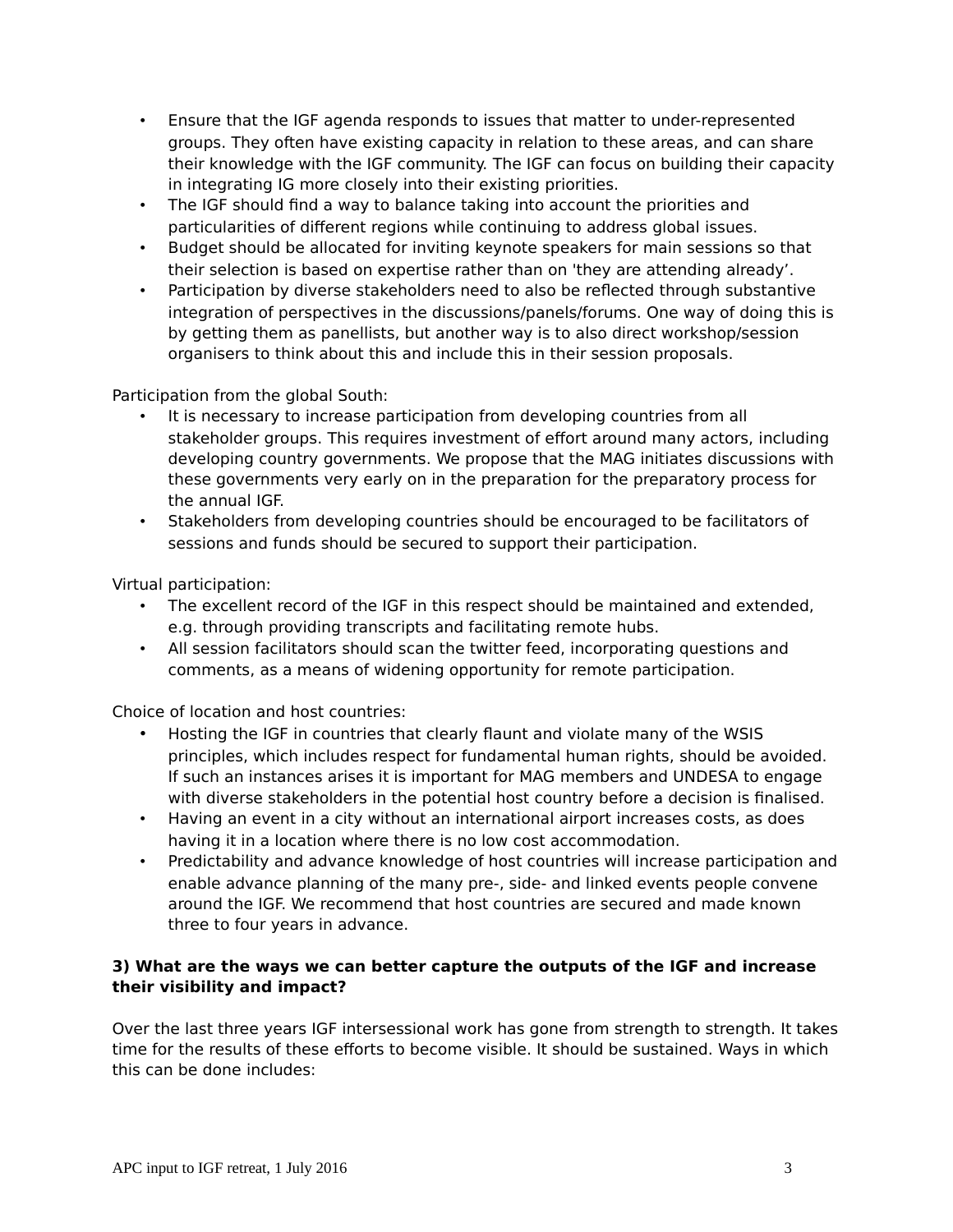- Ensure that the IGF agenda responds to issues that matter to under-represented groups. They often have existing capacity in relation to these areas, and can share their knowledge with the IGF community. The IGF can focus on building their capacity in integrating IG more closely into their existing priorities.
- The IGF should find a way to balance taking into account the priorities and particularities of different regions while continuing to address global issues.
- Budget should be allocated for inviting keynote speakers for main sessions so that their selection is based on expertise rather than on 'they are attending already'.
- Participation by diverse stakeholders need to also be reflected through substantive integration of perspectives in the discussions/panels/forums. One way of doing this is by getting them as panellists, but another way is to also direct workshop/session organisers to think about this and include this in their session proposals.

Participation from the global South:

- It is necessary to increase participation from developing countries from all stakeholder groups. This requires investment of effort around many actors, including developing country governments. We propose that the MAG initiates discussions with these governments very early on in the preparation for the preparatory process for the annual IGF.
- Stakeholders from developing countries should be encouraged to be facilitators of sessions and funds should be secured to support their participation.

Virtual participation:

- The excellent record of the IGF in this respect should be maintained and extended, e.g. through providing transcripts and facilitating remote hubs.
- All session facilitators should scan the twitter feed, incorporating questions and comments, as a means of widening opportunity for remote participation.

Choice of location and host countries:

- Hosting the IGF in countries that clearly flaunt and violate many of the WSIS principles, which includes respect for fundamental human rights, should be avoided. If such an instances arises it is important for MAG members and UNDESA to engage with diverse stakeholders in the potential host country before a decision is finalised.
- Having an event in a city without an international airport increases costs, as does having it in a location where there is no low cost accommodation.
- Predictability and advance knowledge of host countries will increase participation and enable advance planning of the many pre-, side- and linked events people convene around the IGF. We recommend that host countries are secured and made known three to four years in advance.

#### **3) What are the ways we can better capture the outputs of the IGF and increase their visibility and impact?**

Over the last three years IGF intersessional work has gone from strength to strength. It takes time for the results of these efforts to become visible. It should be sustained. Ways in which this can be done includes: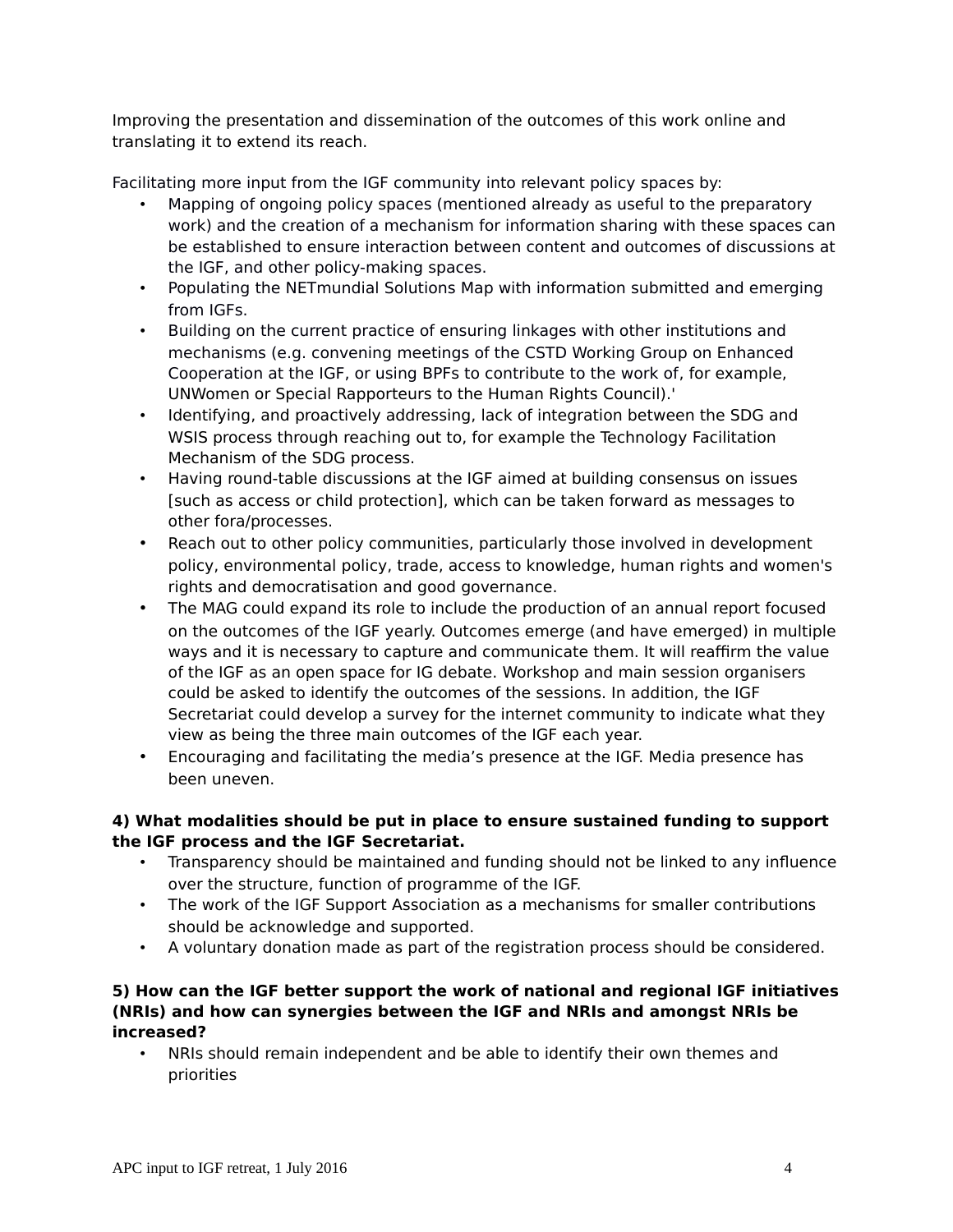Improving the presentation and dissemination of the outcomes of this work online and translating it to extend its reach.

Facilitating more input from the IGF community into relevant policy spaces by:

- Mapping of ongoing policy spaces (mentioned already as useful to the preparatory work) and the creation of a mechanism for information sharing with these spaces can be established to ensure interaction between content and outcomes of discussions at the IGF, and other policy-making spaces.
- Populating the NETmundial Solutions Map with information submitted and emerging from IGFs.
- Building on the current practice of ensuring linkages with other institutions and mechanisms (e.g. convening meetings of the CSTD Working Group on Enhanced Cooperation at the IGF, or using BPFs to contribute to the work of, for example, UNWomen or Special Rapporteurs to the Human Rights Council).'
- Identifying, and proactively addressing, lack of integration between the SDG and WSIS process through reaching out to, for example the Technology Facilitation Mechanism of the SDG process.
- Having round-table discussions at the IGF aimed at building consensus on issues [such as access or child protection], which can be taken forward as messages to other fora/processes.
- Reach out to other policy communities, particularly those involved in development policy, environmental policy, trade, access to knowledge, human rights and women's rights and democratisation and good governance.
- The MAG could expand its role to include the production of an annual report focused on the outcomes of the IGF yearly. Outcomes emerge (and have emerged) in multiple ways and it is necessary to capture and communicate them. It will reaffirm the value of the IGF as an open space for IG debate. Workshop and main session organisers could be asked to identify the outcomes of the sessions. In addition, the IGF Secretariat could develop a survey for the internet community to indicate what they view as being the three main outcomes of the IGF each year.
- Encouraging and facilitating the media's presence at the IGF. Media presence has been uneven.

## **4) What modalities should be put in place to ensure sustained funding to support the IGF process and the IGF Secretariat.**

- Transparency should be maintained and funding should not be linked to any influence over the structure, function of programme of the IGF.
- The work of the IGF Support Association as a mechanisms for smaller contributions should be acknowledge and supported.
- A voluntary donation made as part of the registration process should be considered.

#### **5) How can the IGF better support the work of national and regional IGF initiatives (NRIs) and how can synergies between the IGF and NRIs and amongst NRIs be increased?**

• NRIs should remain independent and be able to identify their own themes and priorities